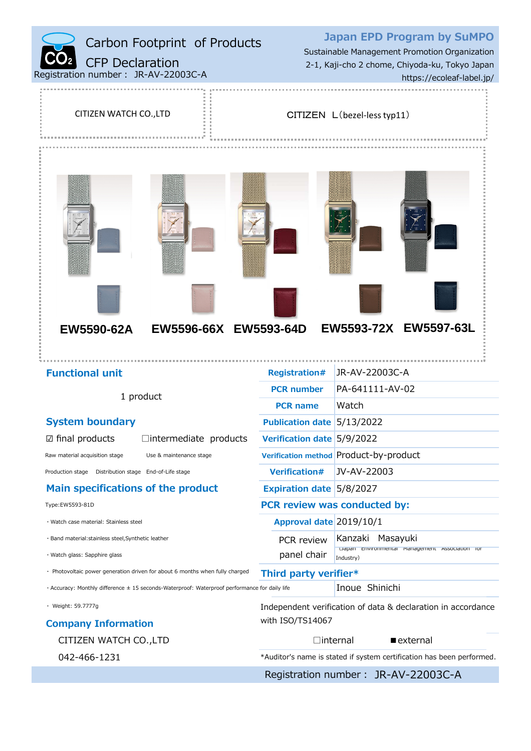